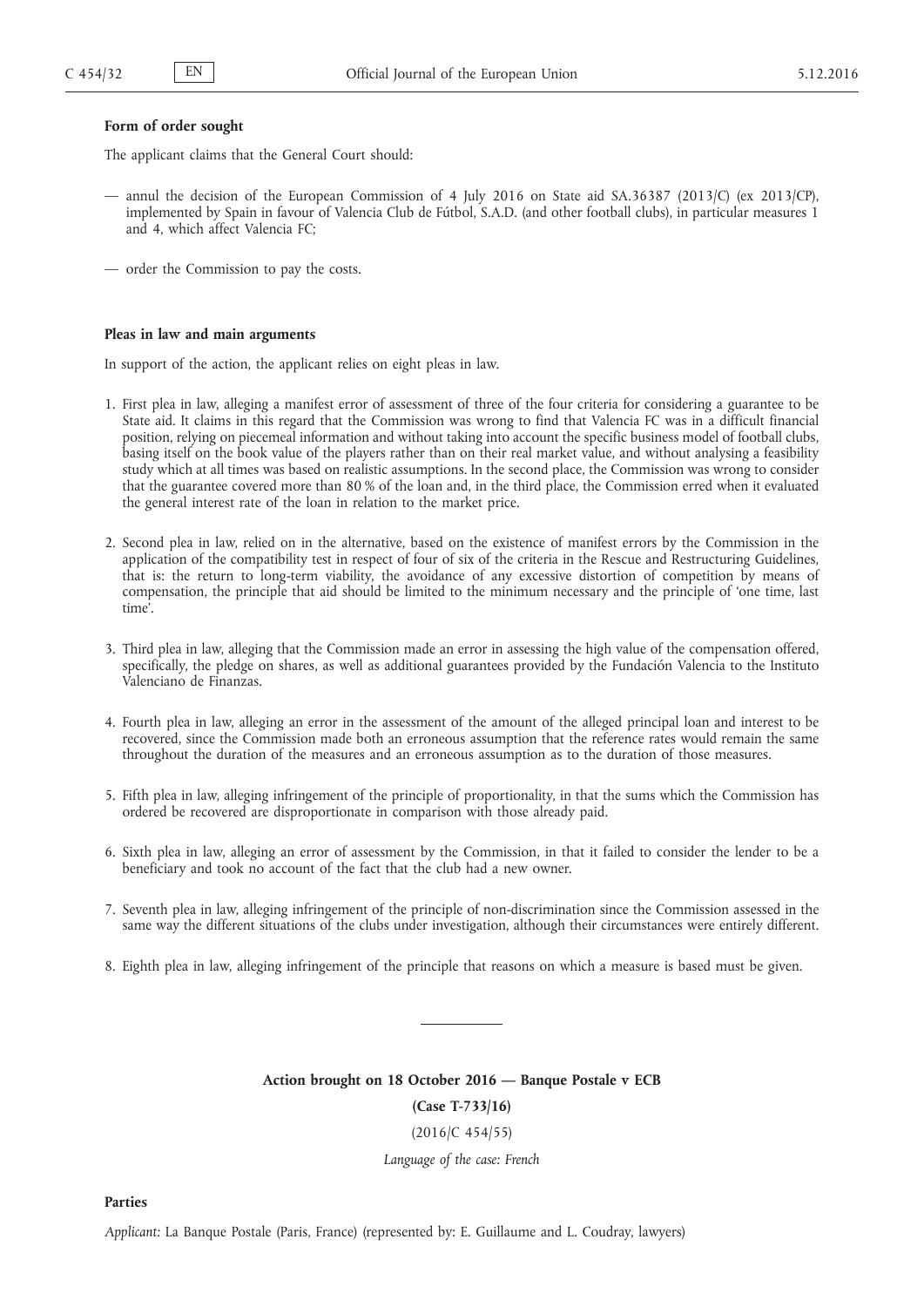#### **Form of order sought**

The applicant claims that the General Court should:

- annul the decision of the European Commission of 4 July 2016 on State aid SA.36387 (2013/C) (ex 2013/CP), implemented by Spain in favour of Valencia Club de Fútbol, S.A.D. (and other football clubs), in particular measures 1 and 4, which affect Valencia FC;
- order the Commission to pay the costs.

#### **Pleas in law and main arguments**

In support of the action, the applicant relies on eight pleas in law.

- 1. First plea in law, alleging a manifest error of assessment of three of the four criteria for considering a guarantee to be State aid. It claims in this regard that the Commission was wrong to find that Valencia FC was in a difficult financial position, relying on piecemeal information and without taking into account the specific business model of football clubs, basing itself on the book value of the players rather than on their real market value, and without analysing a feasibility study which at all times was based on realistic assumptions. In the second place, the Commission was wrong to consider that the guarantee covered more than 80 % of the loan and, in the third place, the Commission erred when it evaluated the general interest rate of the loan in relation to the market price.
- 2. Second plea in law, relied on in the alternative, based on the existence of manifest errors by the Commission in the application of the compatibility test in respect of four of six of the criteria in the Rescue and Restructuring Guidelines, that is: the return to long-term viability, the avoidance of any excessive distortion of competition by means of compensation, the principle that aid should be limited to the minimum necessary and the principle of 'one time, last time'.
- 3. Third plea in law, alleging that the Commission made an error in assessing the high value of the compensation offered, specifically, the pledge on shares, as well as additional guarantees provided by the Fundación Valencia to the Instituto Valenciano de Finanzas.
- 4. Fourth plea in law, alleging an error in the assessment of the amount of the alleged principal loan and interest to be recovered, since the Commission made both an erroneous assumption that the reference rates would remain the same throughout the duration of the measures and an erroneous assumption as to the duration of those measures.
- 5. Fifth plea in law, alleging infringement of the principle of proportionality, in that the sums which the Commission has ordered be recovered are disproportionate in comparison with those already paid.
- 6. Sixth plea in law, alleging an error of assessment by the Commission, in that it failed to consider the lender to be a beneficiary and took no account of the fact that the club had a new owner.
- 7. Seventh plea in law, alleging infringement of the principle of non-discrimination since the Commission assessed in the same way the different situations of the clubs under investigation, although their circumstances were entirely different.
- 8. Eighth plea in law, alleging infringement of the principle that reasons on which a measure is based must be given.

**Action brought on 18 October 2016 — Banque Postale v ECB (Case T-733/16)**

(2016/C 454/55)

*Language of the case: French*

**Parties**

*Applicant:* La Banque Postale (Paris, France) (represented by: E. Guillaume and L. Coudray, lawyers)